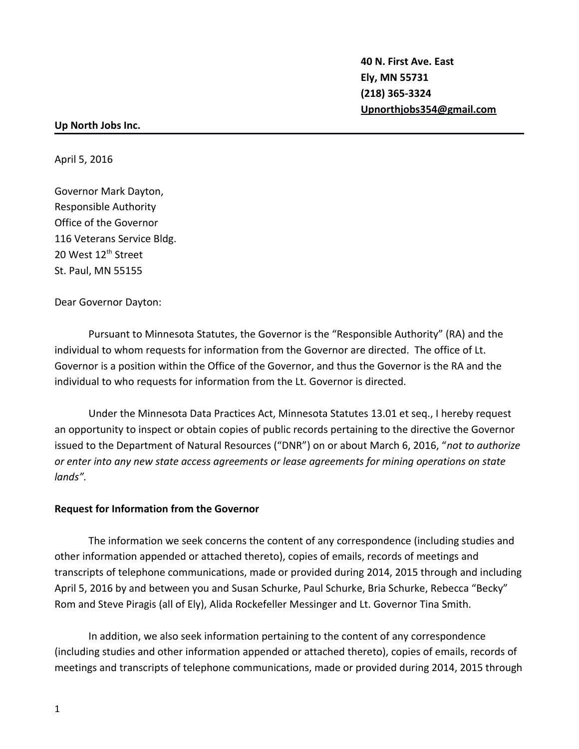**40 N. First Ave. East Ely, MN 55731 (218) 365-3324 [Upnorthjobs354@gmail.com](mailto:Upnorthjobs354@gmail.com)**

## **Up North Jobs Inc.**

April 5, 2016

Governor Mark Dayton, Responsible Authority Office of the Governor 116 Veterans Service Bldg. 20 West 12<sup>th</sup> Street St. Paul, MN 55155

Dear Governor Dayton:

Pursuant to Minnesota Statutes, the Governor is the "Responsible Authority" (RA) and the individual to whom requests for information from the Governor are directed. The office of Lt. Governor is a position within the Office of the Governor, and thus the Governor is the RA and the individual to who requests for information from the Lt. Governor is directed.

Under the Minnesota Data Practices Act, Minnesota Statutes 13.01 et seq., I hereby request an opportunity to inspect or obtain copies of public records pertaining to the directive the Governor issued to the Department of Natural Resources ("DNR") on or about March 6, 2016, "*not to authorize or enter into any new state access agreements or lease agreements for mining operations on state lands".*

## **Request for Information from the Governor**

The information we seek concerns the content of any correspondence (including studies and other information appended or attached thereto), copies of emails, records of meetings and transcripts of telephone communications, made or provided during 2014, 2015 through and including April 5, 2016 by and between you and Susan Schurke, Paul Schurke, Bria Schurke, Rebecca "Becky" Rom and Steve Piragis (all of Ely), Alida Rockefeller Messinger and Lt. Governor Tina Smith.

In addition, we also seek information pertaining to the content of any correspondence (including studies and other information appended or attached thereto), copies of emails, records of meetings and transcripts of telephone communications, made or provided during 2014, 2015 through